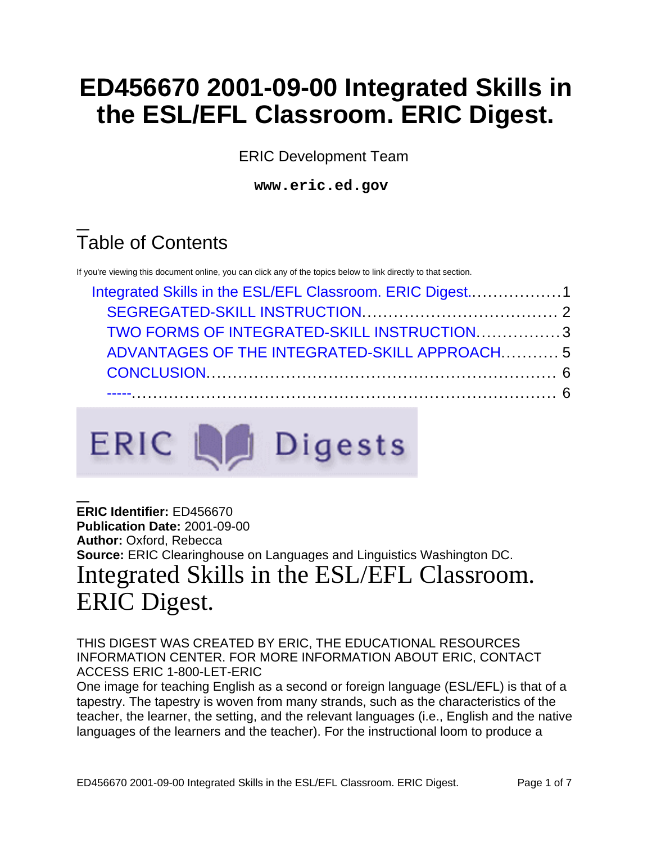# **ED456670 2001-09-00 Integrated Skills in the ESL/EFL Classroom. ERIC Digest.**

ERIC Development Team

**www.eric.ed.gov**

# Table of Contents

If you're viewing this document online, you can click any of the topics below to link directly to that section.

| Integrated Skills in the ESL/EFL Classroom. ERIC Digest1<br>TWO FORMS OF INTEGRATED-SKILL INSTRUCTION3<br>ADVANTAGES OF THE INTEGRATED-SKILL APPROACH5 |  |
|--------------------------------------------------------------------------------------------------------------------------------------------------------|--|
|                                                                                                                                                        |  |
|                                                                                                                                                        |  |
|                                                                                                                                                        |  |
|                                                                                                                                                        |  |



### <span id="page-0-0"></span>**ERIC Identifier:** ED456670 **Publication Date:** 2001-09-00 **Author:** Oxford, Rebecca **Source:** ERIC Clearinghouse on Languages and Linguistics Washington DC. Integrated Skills in the ESL/EFL Classroom. ERIC Digest.

#### THIS DIGEST WAS CREATED BY ERIC, THE EDUCATIONAL RESOURCES INFORMATION CENTER. FOR MORE INFORMATION ABOUT ERIC, CONTACT ACCESS ERIC 1-800-LET-ERIC

One image for teaching English as a second or foreign language (ESL/EFL) is that of a tapestry. The tapestry is woven from many strands, such as the characteristics of the teacher, the learner, the setting, and the relevant languages (i.e., English and the native languages of the learners and the teacher). For the instructional loom to produce a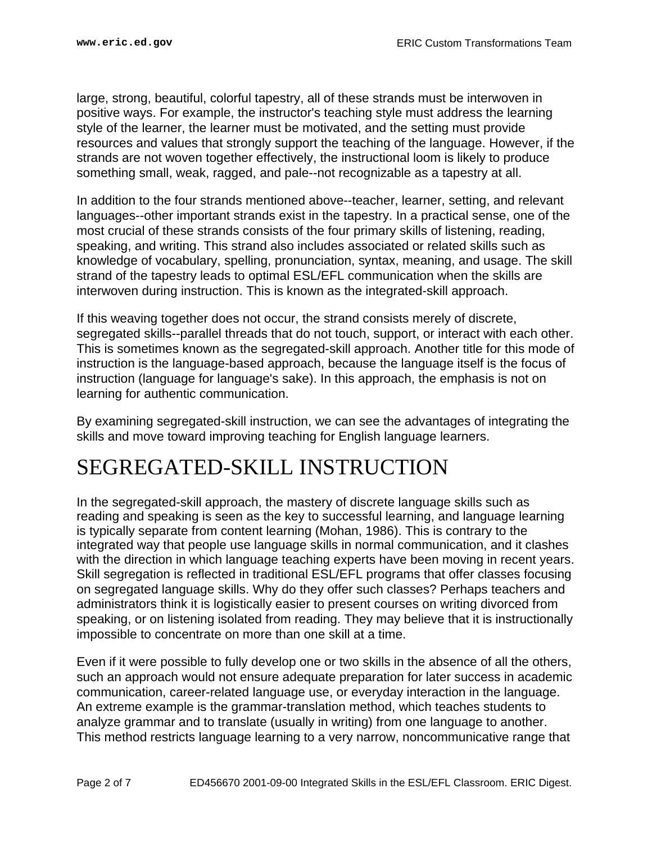large, strong, beautiful, colorful tapestry, all of these strands must be interwoven in positive ways. For example, the instructor's teaching style must address the learning style of the learner, the learner must be motivated, and the setting must provide resources and values that strongly support the teaching of the language. However, if the strands are not woven together effectively, the instructional loom is likely to produce something small, weak, ragged, and pale--not recognizable as a tapestry at all.

In addition to the four strands mentioned above--teacher, learner, setting, and relevant languages--other important strands exist in the tapestry. In a practical sense, one of the most crucial of these strands consists of the four primary skills of listening, reading, speaking, and writing. This strand also includes associated or related skills such as knowledge of vocabulary, spelling, pronunciation, syntax, meaning, and usage. The skill strand of the tapestry leads to optimal ESL/EFL communication when the skills are interwoven during instruction. This is known as the integrated-skill approach.

If this weaving together does not occur, the strand consists merely of discrete, segregated skills--parallel threads that do not touch, support, or interact with each other. This is sometimes known as the segregated-skill approach. Another title for this mode of instruction is the language-based approach, because the language itself is the focus of instruction (language for language's sake). In this approach, the emphasis is not on learning for authentic communication.

By examining segregated-skill instruction, we can see the advantages of integrating the skills and move toward improving teaching for English language learners.

## <span id="page-1-0"></span>SEGREGATED-SKILL INSTRUCTION

In the segregated-skill approach, the mastery of discrete language skills such as reading and speaking is seen as the key to successful learning, and language learning is typically separate from content learning (Mohan, 1986). This is contrary to the integrated way that people use language skills in normal communication, and it clashes with the direction in which language teaching experts have been moving in recent years. Skill segregation is reflected in traditional ESL/EFL programs that offer classes focusing on segregated language skills. Why do they offer such classes? Perhaps teachers and administrators think it is logistically easier to present courses on writing divorced from speaking, or on listening isolated from reading. They may believe that it is instructionally impossible to concentrate on more than one skill at a time.

Even if it were possible to fully develop one or two skills in the absence of all the others, such an approach would not ensure adequate preparation for later success in academic communication, career-related language use, or everyday interaction in the language. An extreme example is the grammar-translation method, which teaches students to analyze grammar and to translate (usually in writing) from one language to another. This method restricts language learning to a very narrow, noncommunicative range that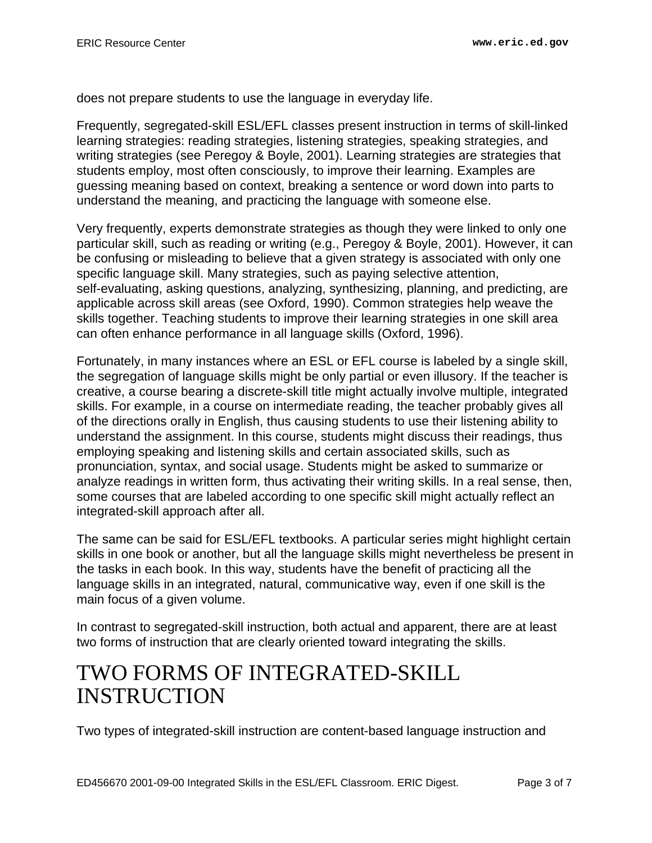does not prepare students to use the language in everyday life.

Frequently, segregated-skill ESL/EFL classes present instruction in terms of skill-linked learning strategies: reading strategies, listening strategies, speaking strategies, and writing strategies (see Peregoy & Boyle, 2001). Learning strategies are strategies that students employ, most often consciously, to improve their learning. Examples are guessing meaning based on context, breaking a sentence or word down into parts to understand the meaning, and practicing the language with someone else.

Very frequently, experts demonstrate strategies as though they were linked to only one particular skill, such as reading or writing (e.g., Peregoy & Boyle, 2001). However, it can be confusing or misleading to believe that a given strategy is associated with only one specific language skill. Many strategies, such as paying selective attention, self-evaluating, asking questions, analyzing, synthesizing, planning, and predicting, are applicable across skill areas (see Oxford, 1990). Common strategies help weave the skills together. Teaching students to improve their learning strategies in one skill area can often enhance performance in all language skills (Oxford, 1996).

Fortunately, in many instances where an ESL or EFL course is labeled by a single skill, the segregation of language skills might be only partial or even illusory. If the teacher is creative, a course bearing a discrete-skill title might actually involve multiple, integrated skills. For example, in a course on intermediate reading, the teacher probably gives all of the directions orally in English, thus causing students to use their listening ability to understand the assignment. In this course, students might discuss their readings, thus employing speaking and listening skills and certain associated skills, such as pronunciation, syntax, and social usage. Students might be asked to summarize or analyze readings in written form, thus activating their writing skills. In a real sense, then, some courses that are labeled according to one specific skill might actually reflect an integrated-skill approach after all.

The same can be said for ESL/EFL textbooks. A particular series might highlight certain skills in one book or another, but all the language skills might nevertheless be present in the tasks in each book. In this way, students have the benefit of practicing all the language skills in an integrated, natural, communicative way, even if one skill is the main focus of a given volume.

In contrast to segregated-skill instruction, both actual and apparent, there are at least two forms of instruction that are clearly oriented toward integrating the skills.

## <span id="page-2-0"></span>TWO FORMS OF INTEGRATED-SKILL INSTRUCTION

Two types of integrated-skill instruction are content-based language instruction and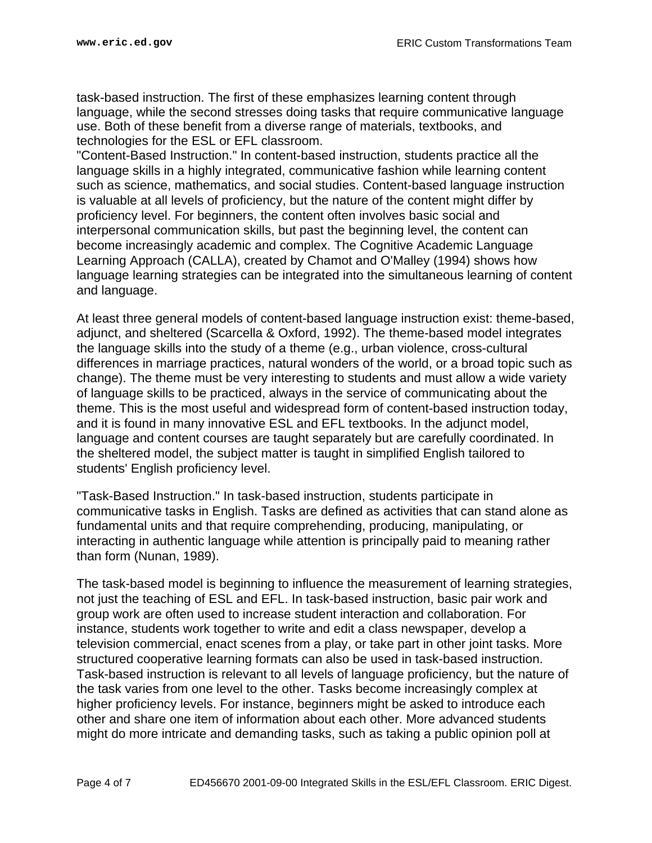task-based instruction. The first of these emphasizes learning content through language, while the second stresses doing tasks that require communicative language use. Both of these benefit from a diverse range of materials, textbooks, and technologies for the ESL or EFL classroom.

"Content-Based Instruction." In content-based instruction, students practice all the language skills in a highly integrated, communicative fashion while learning content such as science, mathematics, and social studies. Content-based language instruction is valuable at all levels of proficiency, but the nature of the content might differ by proficiency level. For beginners, the content often involves basic social and interpersonal communication skills, but past the beginning level, the content can become increasingly academic and complex. The Cognitive Academic Language Learning Approach (CALLA), created by Chamot and O'Malley (1994) shows how language learning strategies can be integrated into the simultaneous learning of content and language.

At least three general models of content-based language instruction exist: theme-based, adjunct, and sheltered (Scarcella & Oxford, 1992). The theme-based model integrates the language skills into the study of a theme (e.g., urban violence, cross-cultural differences in marriage practices, natural wonders of the world, or a broad topic such as change). The theme must be very interesting to students and must allow a wide variety of language skills to be practiced, always in the service of communicating about the theme. This is the most useful and widespread form of content-based instruction today, and it is found in many innovative ESL and EFL textbooks. In the adjunct model, language and content courses are taught separately but are carefully coordinated. In the sheltered model, the subject matter is taught in simplified English tailored to students' English proficiency level.

"Task-Based Instruction." In task-based instruction, students participate in communicative tasks in English. Tasks are defined as activities that can stand alone as fundamental units and that require comprehending, producing, manipulating, or interacting in authentic language while attention is principally paid to meaning rather than form (Nunan, 1989).

The task-based model is beginning to influence the measurement of learning strategies, not just the teaching of ESL and EFL. In task-based instruction, basic pair work and group work are often used to increase student interaction and collaboration. For instance, students work together to write and edit a class newspaper, develop a television commercial, enact scenes from a play, or take part in other joint tasks. More structured cooperative learning formats can also be used in task-based instruction. Task-based instruction is relevant to all levels of language proficiency, but the nature of the task varies from one level to the other. Tasks become increasingly complex at higher proficiency levels. For instance, beginners might be asked to introduce each other and share one item of information about each other. More advanced students might do more intricate and demanding tasks, such as taking a public opinion poll at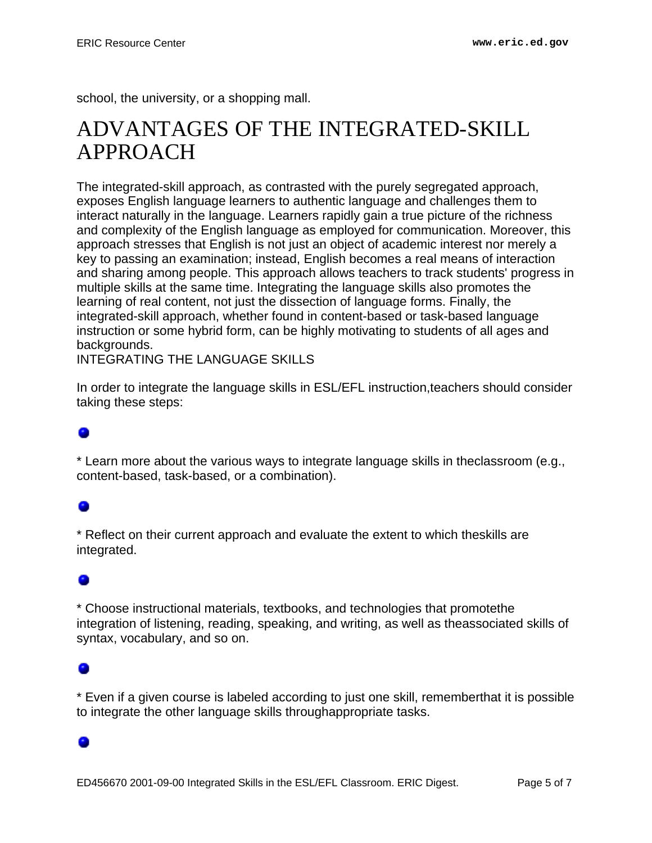school, the university, or a shopping mall.

## <span id="page-4-0"></span>ADVANTAGES OF THE INTEGRATED-SKILL APPROACH

The integrated-skill approach, as contrasted with the purely segregated approach, exposes English language learners to authentic language and challenges them to interact naturally in the language. Learners rapidly gain a true picture of the richness and complexity of the English language as employed for communication. Moreover, this approach stresses that English is not just an object of academic interest nor merely a key to passing an examination; instead, English becomes a real means of interaction and sharing among people. This approach allows teachers to track students' progress in multiple skills at the same time. Integrating the language skills also promotes the learning of real content, not just the dissection of language forms. Finally, the integrated-skill approach, whether found in content-based or task-based language instruction or some hybrid form, can be highly motivating to students of all ages and backgrounds.

INTEGRATING THE LANGUAGE SKILLS

In order to integrate the language skills in ESL/EFL instruction,teachers should consider taking these steps:

#### ۰

\* Learn more about the various ways to integrate language skills in theclassroom (e.g., content-based, task-based, or a combination).

#### ۰

\* Reflect on their current approach and evaluate the extent to which theskills are integrated.

#### ۰

\* Choose instructional materials, textbooks, and technologies that promotethe integration of listening, reading, speaking, and writing, as well as theassociated skills of syntax, vocabulary, and so on.

\* Even if a given course is labeled according to just one skill, rememberthat it is possible to integrate the other language skills throughappropriate tasks.

#### ۰

ED456670 2001-09-00 Integrated Skills in the ESL/EFL Classroom. ERIC Digest. Page 5 of 7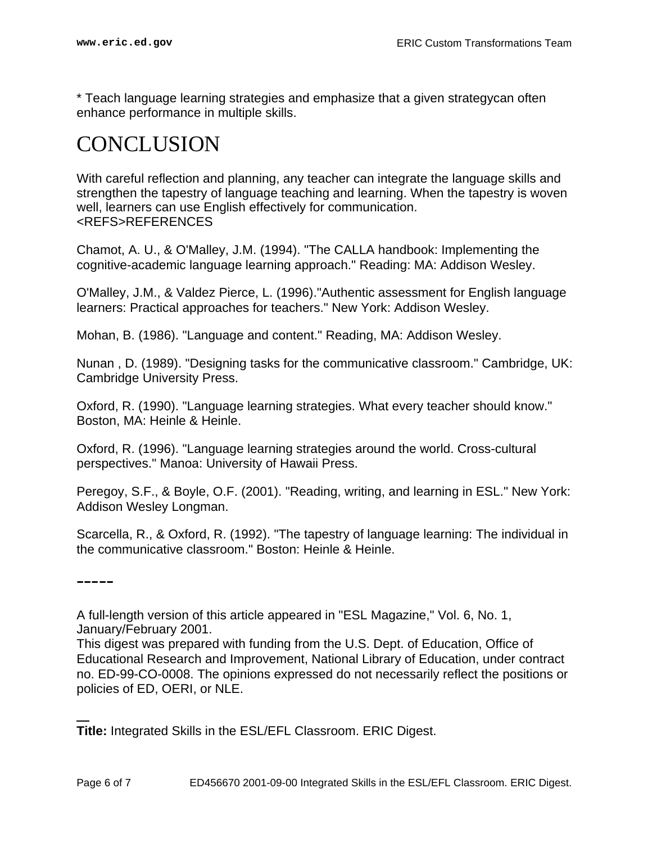\* Teach language learning strategies and emphasize that a given strategycan often enhance performance in multiple skills.

## <span id="page-5-0"></span>CONCLUSION

With careful reflection and planning, any teacher can integrate the language skills and strengthen the tapestry of language teaching and learning. When the tapestry is woven well, learners can use English effectively for communication. <REFS>REFERENCES

Chamot, A. U., & O'Malley, J.M. (1994). "The CALLA handbook: Implementing the cognitive-academic language learning approach." Reading: MA: Addison Wesley.

O'Malley, J.M., & Valdez Pierce, L. (1996)."Authentic assessment for English language learners: Practical approaches for teachers." New York: Addison Wesley.

Mohan, B. (1986). "Language and content." Reading, MA: Addison Wesley.

Nunan , D. (1989). "Designing tasks for the communicative classroom." Cambridge, UK: Cambridge University Press.

Oxford, R. (1990). "Language learning strategies. What every teacher should know." Boston, MA: Heinle & Heinle.

Oxford, R. (1996). "Language learning strategies around the world. Cross-cultural perspectives." Manoa: University of Hawaii Press.

Peregoy, S.F., & Boyle, O.F. (2001). "Reading, writing, and learning in ESL." New York: Addison Wesley Longman.

Scarcella, R., & Oxford, R. (1992). "The tapestry of language learning: The individual in the communicative classroom." Boston: Heinle & Heinle.

<span id="page-5-1"></span>-----

A full-length version of this article appeared in "ESL Magazine," Vol. 6, No. 1, January/February 2001.

This digest was prepared with funding from the U.S. Dept. of Education, Office of Educational Research and Improvement, National Library of Education, under contract no. ED-99-CO-0008. The opinions expressed do not necessarily reflect the positions or policies of ED, OERI, or NLE.

**Title:** Integrated Skills in the ESL/EFL Classroom. ERIC Digest.